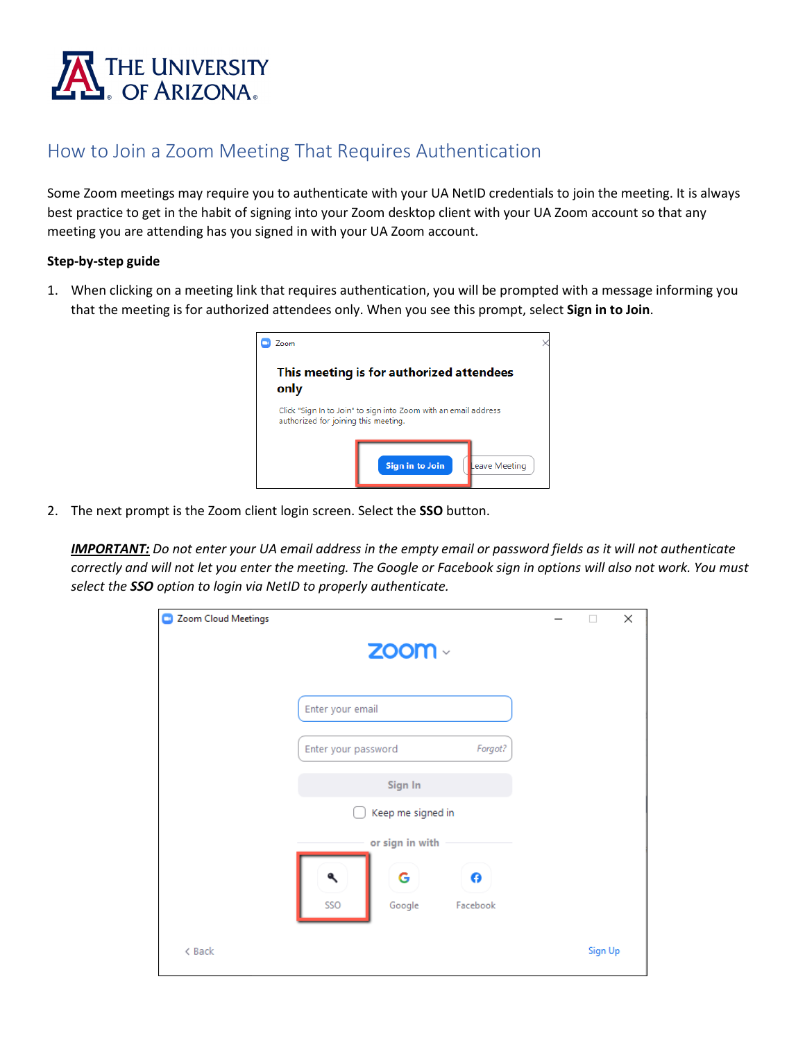

## How to Join a Zoom Meeting That Requires Authentication

Some Zoom meetings may require you to authenticate with your UA NetID credentials to join the meeting. It is always best practice to get in the habit of signing into your Zoom desktop client with your UA Zoom account so that any meeting you are attending has you signed in with your UA Zoom account.

## **Step-by-step guide**

1. When clicking on a meeting link that requires authentication, you will be prompted with a message informing you that the meeting is for authorized attendees only. When you see this prompt, select **Sign in to Join**.



2. The next prompt is the Zoom client login screen. Select the **SSO** button.

*IMPORTANT: Do not enter your UA email address in the empty email or password fields as it will not authenticate correctly and will not let you enter the meeting. The Google or Facebook sign in options will also not work. You must select the SSO option to login via NetID to properly authenticate.*

| Zoom Cloud Meetings<br>o |                                     |         | $\times$ |
|--------------------------|-------------------------------------|---------|----------|
|                          | $\mathsf{Z}$ OOM $\vee$             |         |          |
|                          | Enter your email                    |         |          |
|                          | Forgot?<br>Enter your password      |         |          |
|                          | Sign In                             |         |          |
|                          | Keep me signed in                   |         |          |
|                          | or sign in with                     |         |          |
|                          | G<br>Θ<br>SSO<br>Facebook<br>Google |         |          |
| < Back                   |                                     | Sign Up |          |